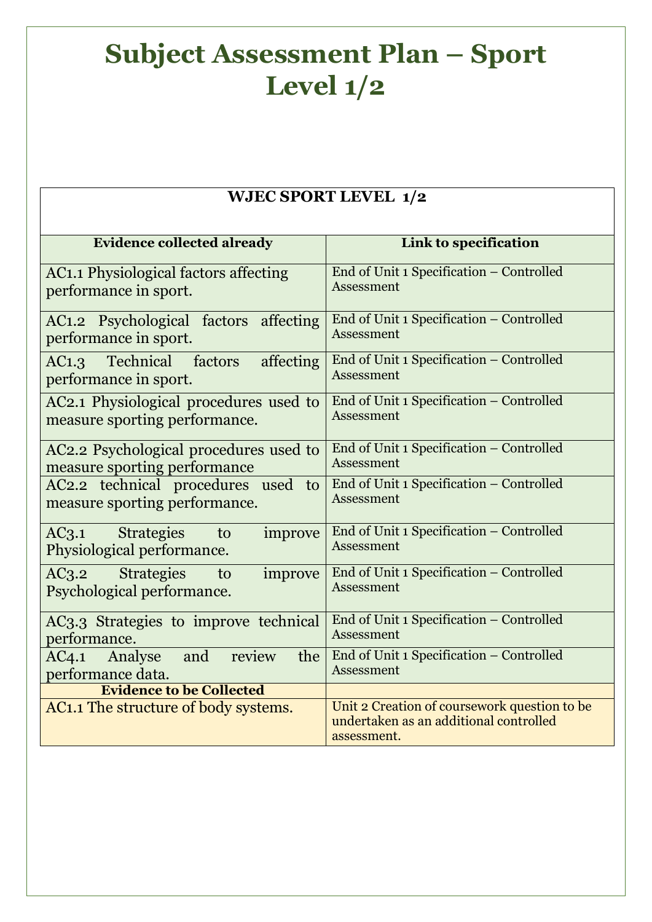## **Subject Assessment Plan – Sport Level 1/2**

## **WJEC SPORT LEVEL 1/2**

| <b>Evidence collected already</b>                                         | Link to specification                                                                                 |
|---------------------------------------------------------------------------|-------------------------------------------------------------------------------------------------------|
| AC1.1 Physiological factors affecting<br>performance in sport.            | End of Unit 1 Specification - Controlled<br>Assessment                                                |
| AC1.2 Psychological factors affecting<br>performance in sport.            | End of Unit 1 Specification - Controlled<br>Assessment                                                |
| Technical factors<br>affecting<br>AC1.3<br>performance in sport.          | End of Unit 1 Specification - Controlled<br>Assessment                                                |
| AC2.1 Physiological procedures used to<br>measure sporting performance.   | End of Unit 1 Specification - Controlled<br>Assessment                                                |
| AC2.2 Psychological procedures used to<br>measure sporting performance    | End of Unit 1 Specification - Controlled<br>Assessment                                                |
| AC2.2 technical procedures<br>used<br>to<br>measure sporting performance. | End of Unit 1 Specification - Controlled<br>Assessment                                                |
| AC3.1 Strategies<br>improve<br>to<br>Physiological performance.           | End of Unit 1 Specification - Controlled<br><b>Assessment</b>                                         |
| <b>Strategies</b><br>AC3.2<br>improve<br>to<br>Psychological performance. | End of Unit 1 Specification - Controlled<br><b>Assessment</b>                                         |
| AC3.3 Strategies to improve technical<br>performance.                     | End of Unit 1 Specification - Controlled<br>Assessment                                                |
| and<br>the<br>review<br>AC4.1<br>Analyse<br>performance data.             | End of Unit 1 Specification - Controlled<br><b>Assessment</b>                                         |
| <b>Evidence to be Collected</b>                                           |                                                                                                       |
| AC1.1 The structure of body systems.                                      | Unit 2 Creation of coursework question to be<br>undertaken as an additional controlled<br>assessment. |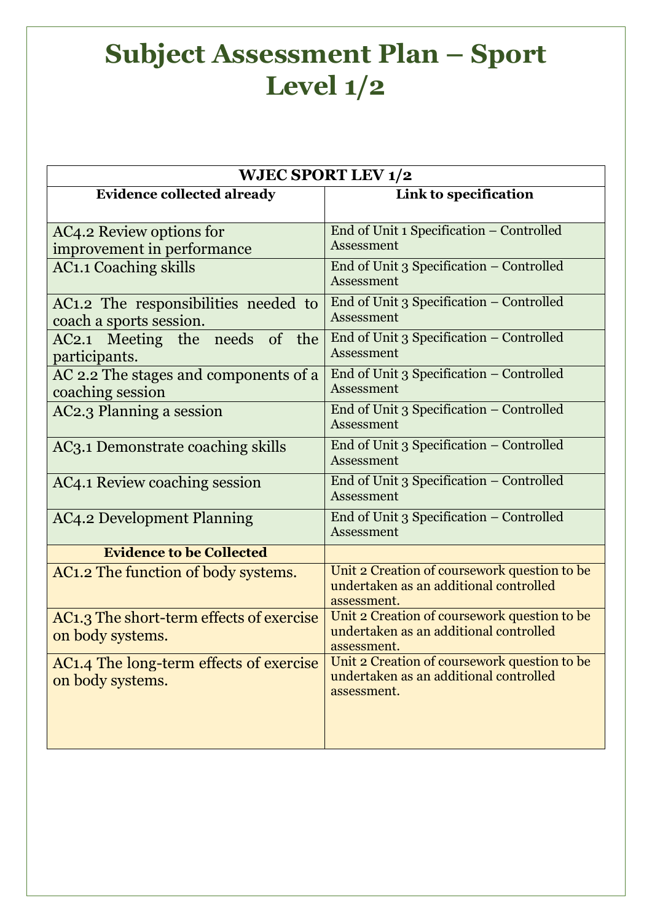## **Subject Assessment Plan – Sport Level 1/2**

| <b>WJEC SPORT LEV 1/2</b>                                                |                                                                                                       |  |
|--------------------------------------------------------------------------|-------------------------------------------------------------------------------------------------------|--|
| <b>Evidence collected already</b>                                        | Link to specification                                                                                 |  |
| AC4.2 Review options for<br>improvement in performance                   | End of Unit 1 Specification - Controlled<br>Assessment                                                |  |
| <b>AC1.1 Coaching skills</b>                                             | End of Unit 3 Specification - Controlled<br>Assessment                                                |  |
| AC1.2 The responsibilities needed to<br>coach a sports session.          | End of Unit 3 Specification - Controlled<br>Assessment                                                |  |
| AC2.1 Meeting the needs of the<br>participants.                          | End of Unit 3 Specification - Controlled<br>Assessment                                                |  |
| AC 2.2 The stages and components of a<br>coaching session                | End of Unit 3 Specification - Controlled<br>Assessment                                                |  |
| AC2.3 Planning a session                                                 | End of Unit 3 Specification - Controlled<br>Assessment                                                |  |
| AC3.1 Demonstrate coaching skills                                        | End of Unit 3 Specification - Controlled<br>Assessment                                                |  |
| AC4.1 Review coaching session                                            | End of Unit 3 Specification - Controlled<br>Assessment                                                |  |
| <b>AC4.2 Development Planning</b>                                        | End of Unit 3 Specification - Controlled<br>Assessment                                                |  |
| <b>Evidence to be Collected</b>                                          |                                                                                                       |  |
| AC1.2 The function of body systems.                                      | Unit 2 Creation of coursework question to be<br>undertaken as an additional controlled<br>assessment. |  |
| AC1.3 The short-term effects of exercise<br>on body systems.             | Unit 2 Creation of coursework question to be<br>undertaken as an additional controlled<br>assessment. |  |
| AC <sub>1</sub> .4 The long-term effects of exercise<br>on body systems. | Unit 2 Creation of coursework question to be<br>undertaken as an additional controlled<br>assessment. |  |